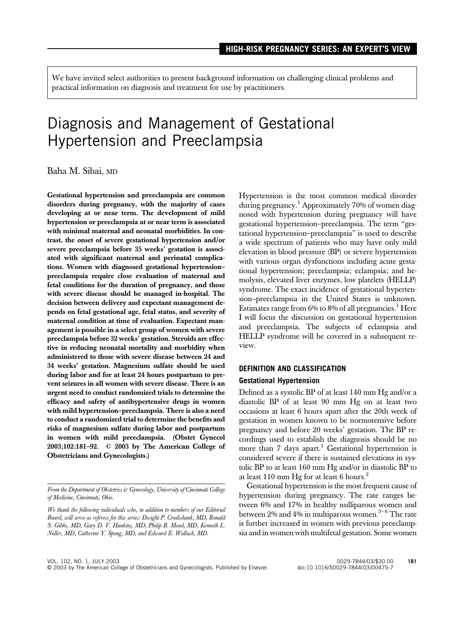We have invited select authorities to present background information on challenging clinical problems and practical information on diagnosis and treatment for use by practitioners.

# Diagnosis and Management of Gestational Hypertension and Preeclampsia

Baha M. Sibai, MD

Gestational hypertension and preeclampsia are common disorders during pregnancy, with the majority of cases developing at or near term. The development of mild hypertension or preeclampsia at or near term is associated with minimal maternal and neonatal morbidities. In contrast, the onset of severe gestational hypertension and/or severe preeclampsia before 35 weeks' gestation is associated with significant maternal and perinatal complications. Women with diagnosed gestational hypertension– preeclampsia require close evaluation of maternal and fetal conditions for the duration of pregnancy, and those with severe disease should be managed in-hospital. The decision between delivery and expectant management depends on fetal gestational age, fetal status, and severity of maternal condition at time of evaluation. Expectant management is possible in a select group of women with severe preeclampsia before 32 weeks' gestation. Steroids are effective in reducing neonatal mortality and morbidity when administered to those with severe disease between 24 and 34 weeks' gestation. Magnesium sulfate should be used during labor and for at least 24 hours postpartum to prevent seizures in all women with severe disease. There is an urgent need to conduct randomized trials to determine the efficacy and safety of antihypertensive drugs in women with mild hypertension–preeclampsia. There is also a need to conduct a randomized trial to determine the benefits and risks of magnesium sulfate during labor and postpartum in women with mild preeclampsia. (Obstet Gynecol 2003;102:181–92. © 2003 by The American College of Obstetricians and Gynecologists.)

Hypertension is the most common medical disorder during pregnancy.<sup>1</sup> Approximately 70% of women diagnosed with hypertension during pregnancy will have gestational hypertension–preeclampsia. The term "gestational hypertension–preeclampsia" is used to describe a wide spectrum of patients who may have only mild elevation in blood pressure (BP) or severe hypertension with various organ dysfunctions including acute gestational hypertension; preeclampsia; eclampsia; and hemolysis, elevated liver enzymes, low platelets (HELLP) syndrome. The exact incidence of gestational hypertension–preeclampsia in the United States is unknown. Estimates range from  $6\%$  to  $8\%$  of all pregnancies.<sup>1</sup> Here I will focus the discussion on gestational hypertension and preeclampsia. The subjects of eclampsia and HELLP syndrome will be covered in a subsequent review.

# **DEFINITION AND CLASSIFICATION Gestational Hypertension**

Defined as a systolic BP of at least 140 mm Hg and/or a diastolic BP of at least 90 mm Hg on at least two occasions at least 6 hours apart after the 20th week of gestation in women known to be normotensive before pregnancy and before 20 weeks' gestation. The BP recordings used to establish the diagnosis should be no more than 7 days apart.<sup>1</sup> Gestational hypertension is considered severe if there is sustained elevations in systolic BP to at least 160 mm Hg and/or in diastolic BP to at least 110 mm Hg for at least 6 hours.<sup>2</sup>

Gestational hypertension is the most frequent cause of hypertension during pregnancy. The rate ranges between 6% and 17% in healthy nulliparous women and between 2% and 4% in multiparous women.<sup>3–6</sup> The rate is further increased in women with previous preeclampsia and in women with multifetal gestation. Some women

*From the Department of Obstetrics & Gynecology, University of Cincinnati College of Medicine, Cincinnati, Ohio.*

*We thank the following individuals who, in addition to members of our Editorial Board, will serve as referees for this series: Dwight P. Cruikshank, MD, Ronald S. Gibbs, MD, Gary D. V. Hankins, MD, Philip B. Mead, MD, Kenneth L. Noller, MD, Catherine Y. Spong, MD, and Edward E. Wallach, MD.*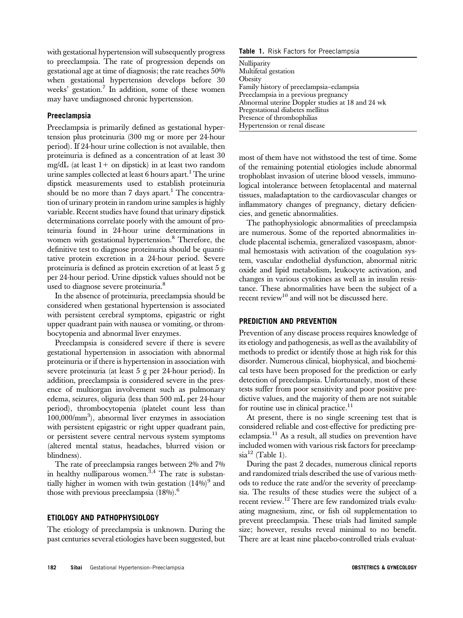with gestational hypertension will subsequently progress to preeclampsia. The rate of progression depends on gestational age at time of diagnosis; the rate reaches 50% when gestational hypertension develops before 30 weeks' gestation.<sup>7</sup> In addition, some of these women may have undiagnosed chronic hypertension.

## **Preeclampsia**

Preeclampsia is primarily defined as gestational hypertension plus proteinuria (300 mg or more per 24-hour period). If 24-hour urine collection is not available, then proteinuria is defined as a concentration of at least 30 mg/dL (at least  $1+$  on dipstick) in at least two random urine samples collected at least  $6$  hours apart.<sup>1</sup> The urine dipstick measurements used to establish proteinuria should be no more than  $7$  days apart.<sup>1</sup> The concentration of urinary protein in random urine samples is highly variable. Recent studies have found that urinary dipstick determinations correlate poorly with the amount of proteinuria found in 24-hour urine determinations in women with gestational hypertension.<sup>8</sup> Therefore, the definitive test to diagnose proteinuria should be quantitative protein excretion in a 24-hour period. Severe proteinuria is defined as protein excretion of at least 5 g per 24-hour period. Urine dipstick values should not be used to diagnose severe proteinuria.<sup>8</sup>

In the absence of proteinuria, preeclampsia should be considered when gestational hypertension is associated with persistent cerebral symptoms, epigastric or right upper quadrant pain with nausea or vomiting, or thrombocytopenia and abnormal liver enzymes.

Preeclampsia is considered severe if there is severe gestational hypertension in association with abnormal proteinuria or if there is hypertension in association with severe proteinuria (at least 5 g per 24-hour period). In addition, preeclampsia is considered severe in the presence of multiorgan involvement such as pulmonary edema, seizures, oliguria (less than 500 mL per 24-hour period), thrombocytopenia (platelet count less than 100,000/mm3 ), abnormal liver enzymes in association with persistent epigastric or right upper quadrant pain, or persistent severe central nervous system symptoms (altered mental status, headaches, blurred vision or blindness).

The rate of preeclampsia ranges between 2% and 7% in healthy nulliparous women.<sup>3,4</sup> The rate is substantially higher in women with twin gestation  $(14\%)^9$  and those with previous preeclampsia  $(18\%)$ .<sup>6</sup>

# **ETIOLOGY AND PATHOPHYSIOLOGY**

The etiology of preeclampsia is unknown. During the past centuries several etiologies have been suggested, but

#### **Table 1.** Risk Factors for Preeclampsia

Nulliparity Multifetal gestation **Obesity** Family history of preeclampsia–eclampsia Preeclampsia in a previous pregnancy Abnormal uterine Doppler studies at 18 and 24 wk Pregestational diabetes mellitus Presence of thrombophilias Hypertension or renal disease

most of them have not withstood the test of time. Some of the remaining potential etiologies include abnormal trophoblast invasion of uterine blood vessels, immunological intolerance between fetoplacental and maternal tissues, maladaptation to the cardiovascular changes or inflammatory changes of pregnancy, dietary deficiencies, and genetic abnormalities.

The pathophysiologic abnormalities of preeclampsia are numerous. Some of the reported abnormalities include placental ischemia, generalized vasospasm, abnormal hemostasis with activation of the coagulation system, vascular endothelial dysfunction, abnormal nitric oxide and lipid metabolism, leukocyte activation, and changes in various cytokines as well as in insulin resistance. These abnormalities have been the subject of a recent review $10$  and will not be discussed here.

# **PREDICTION AND PREVENTION**

Prevention of any disease process requires knowledge of its etiology and pathogenesis, as well as the availability of methods to predict or identify those at high risk for this disorder. Numerous clinical, biophysical, and biochemical tests have been proposed for the prediction or early detection of preeclampsia. Unfortunately, most of these tests suffer from poor sensitivity and poor positive predictive values, and the majority of them are not suitable for routine use in clinical practice. $11$ 

At present, there is no single screening test that is considered reliable and cost-effective for predicting preeclampsia. $^{11}$  As a result, all studies on prevention have included women with various risk factors for preeclamp $sia<sup>12</sup>$  (Table 1).

During the past 2 decades, numerous clinical reports and randomized trials described the use of various methods to reduce the rate and/or the severity of preeclampsia. The results of these studies were the subject of a recent review.<sup>12</sup> There are few randomized trials evaluating magnesium, zinc, or fish oil supplementation to prevent preeclampsia. These trials had limited sample size; however, results reveal minimal to no benefit. There are at least nine placebo-controlled trials evaluat-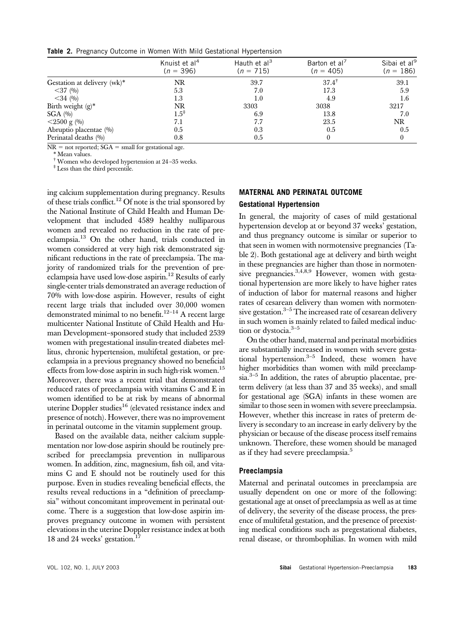**Table 2.** Pregnancy Outcome in Women With Mild Gestational Hypertension

|                             | Knuist et al <sup>4</sup><br>$(n = 396)$ | Hauth et al <sup>3</sup><br>$(n = 715)$ | Barton et al <sup>7</sup><br>$(n = 405)$ | Sibai et al <sup>9</sup><br>$(n = 186)$ |
|-----------------------------|------------------------------------------|-----------------------------------------|------------------------------------------|-----------------------------------------|
| Gestation at delivery (wk)* | NR                                       | 39.7                                    | $37.4^{\dagger}$                         | 39.1                                    |
| $<$ 37 (%)                  | 5.3                                      | 7.0                                     | 17.3                                     | 5.9                                     |
| $<$ 34 (%)                  | 1.3                                      | 1.0                                     | 4.9                                      | 1.6                                     |
| Birth weight $(g)^*$        | NR                                       | 3303                                    | 3038                                     | 3217                                    |
| SGA (%)                     | $1.5^*$                                  | 6.9                                     | 13.8                                     | 7.0                                     |
| $<$ 2500 g (%)              | 7.1                                      | 7.7                                     | 23.5                                     | NR.                                     |
| Abruptio placentae (%)      | 0.5                                      | 0.3                                     | 0.5                                      | 0.5                                     |
| Perinatal deaths (%)        | 0.8                                      | 0.5                                     |                                          |                                         |

 $NR = not reported; SGA = small for gestational age.$ 

\* Mean values.

† Women who developed hypertension at 24–35 weeks.

‡ Less than the third percentile.

ing calcium supplementation during pregnancy. Results of these trials conflict[.12](#page-10-0) Of note is the trial sponsored by the National Institute of Child Health and Human Development that included 4589 healthy nulliparous women and revealed no reduction in the rate of preeclampsia[.13](#page-10-0) On the other hand, trials conducted in women considered at very high risk demonstrated significant reductions in the rate of preeclampsia. The majority of randomized trials for the prevention of preeclampsia have used low-dose aspirin.<sup>12</sup> Results of early single-center trials demonstrated an average reduction of 70% with low-dose aspirin. However, results of eight recent large trials that included over 30,000 women demonstrated minimal to no benefit.<sup>12-14</sup> A recent large multicenter National Institute of Child Health and Human Development–sponsored study that included 2539 women with pregestational insulin-treated diabetes mellitus, chronic hypertension, multifetal gestation, or preeclampsia in a previous pregnancy showed no beneficial effects from low-dose aspirin in such high-risk women.<sup>15</sup> Moreover, there was a recent trial that demonstrated reduced rates of preeclampsia with vitamins C and E in women identified to be at risk by means of abnormal uterine Doppler studies $16$  (elevated resistance index and presence of notch). However, there was no improvement in perinatal outcome in the vitamin supplement group.

Based on the available data, neither calcium supplementation nor low-dose aspirin should be routinely prescribed for preeclampsia prevention in nulliparous women. In addition, zinc, magnesium, fish oil, and vitamins C and E should not be routinely used for this purpose. Even in studies revealing beneficial effects, the results reveal reductions in a "definition of preeclampsia" without concomitant improvement in perinatal outcome. There is a suggestion that low-dose aspirin improves pregnancy outcome in women with persistent elevations in the uterine Doppler resistance index at both 18 and 24 weeks' gestation.<sup>17</sup>

#### **MATERNAL AND PERINATAL OUTCOME**

#### **Gestational Hypertension**

In general, the majority of cases of mild gestational hypertension develop at or beyond 37 weeks' gestation, and thus pregnancy outcome is similar or superior to that seen in women with normotensive pregnancies (Table 2). Both gestational age at delivery and birth weight in these pregnancies are higher than those in normotensive pregnancies.<sup>3,4,8,9</sup> However, women with gestational hypertension are more likely to have higher rates of induction of labor for maternal reasons and higher rates of cesarean delivery than women with normotensive gestation. $3-5$  The increased rate of cesarean delivery in such women is mainly related to failed medical induction or dystocia.<sup>3-5</sup>

On the other hand, maternal and perinatal morbidities are substantially increased in women with severe gestational hypertension.<sup>3-5</sup> Indeed, these women have higher morbidities than women with mild preeclamp $sia.<sup>3-5</sup>$  In addition, the rates of abruptio placentae, preterm delivery (at less than 37 and 35 weeks), and small for gestational age (SGA) infants in these women are similar to those seen in women with severe preeclampsia. However, whether this increase in rates of preterm delivery is secondary to an increase in early delivery by the physician or because of the disease process itself remains unknown. Therefore, these women should be managed as if they had severe preeclampsia.<sup>5</sup>

#### **Preeclampsia**

Maternal and perinatal outcomes in preeclampsia are usually dependent on one or more of the following: gestational age at onset of preeclampsia as well as at time of delivery, the severity of the disease process, the presence of multifetal gestation, and the presence of preexisting medical conditions such as pregestational diabetes, renal disease, or thrombophilias. In women with mild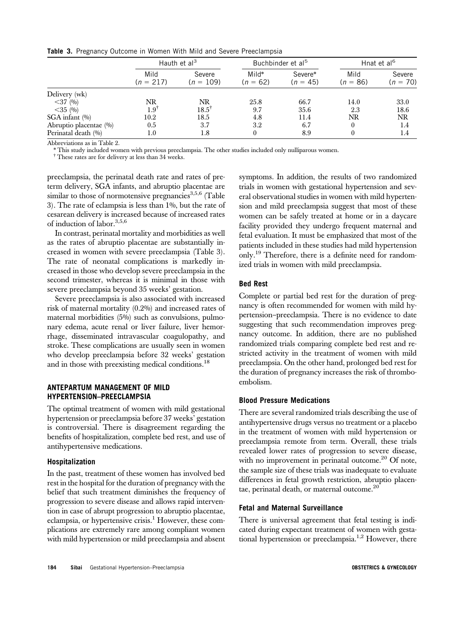**Table 3.** Pregnancy Outcome in Women With Mild and Severe Preeclampsia

|                        | Hauth et $al3$      |                       | Buchbinder et al <sup>5</sup> |                       | Hnat et al <sup>6</sup> |                      |
|------------------------|---------------------|-----------------------|-------------------------------|-----------------------|-------------------------|----------------------|
|                        | Mild<br>$(n = 217)$ | Severe<br>$(n = 109)$ | Mild*<br>$(n = 62)$           | Severe*<br>$(n = 45)$ | Mild<br>$(n = 86)$      | Severe<br>$(n = 70)$ |
| Delivery (wk)          |                     |                       |                               |                       |                         |                      |
| $<$ 37 (%)             | NR                  | NR                    | 25.8                          | 66.7                  | 14.0                    | 33.0                 |
| $<$ 35 (%)             | $1.9^{\dagger}$     | $18.5^{\dagger}$      | 9.7                           | 35.6                  | 2.3                     | 18.6                 |
| $SGA$ infant $(\%)$    | 10.2                | 18.5                  | 4.8                           | 11.4                  | NR                      | NR.                  |
| Abruptio placentae (%) | 0.5                 | 3.7                   | 3.2                           | 6.7                   | $\theta$                | 1.4                  |
| Perinatal death (%)    | $1.0\,$             | $^{1.8}$              | $\theta$                      | 8.9                   |                         | 1.4                  |

Abbreviations as in Table 2.

\* This study included women with previous preeclampsia. The other studies included only nulliparous women.

† These rates are for delivery at less than 34 weeks.

preeclampsia, the perinatal death rate and rates of preterm delivery, SGA infants, and abruptio placentae are similar to those of normotensive pregnancies $3,5,6$  (Table 3). The rate of eclampsia is less than 1%, but the rate of cesarean delivery is increased because of increased rates of induction of labor[.3,5,6](#page-10-0)

In contrast, perinatal mortality and morbidities as well as the rates of abruptio placentae are substantially increased in women with severe preeclampsia (Table 3). The rate of neonatal complications is markedly increased in those who develop severe preeclampsia in the second trimester, whereas it is minimal in those with severe preeclampsia beyond 35 weeks' gestation.

Severe preeclampsia is also associated with increased risk of maternal mortality (0.2%) and increased rates of maternal morbidities (5%) such as convulsions, pulmonary edema, acute renal or liver failure, liver hemorrhage, disseminated intravascular coagulopathy, and stroke. These complications are usually seen in women who develop preeclampsia before 32 weeks' gestation and in those with preexisting medical conditions.<sup>18</sup>

## **ANTEPARTUM MANAGEMENT OF MILD HYPERTENSION–PREECLAMPSIA**

The optimal treatment of women with mild gestational hypertension or preeclampsia before 37 weeks' gestation is controversial. There is disagreement regarding the benefits of hospitalization, complete bed rest, and use of antihypertensive medications.

## **Hospitalization**

In the past, treatment of these women has involved bed rest in the hospital for the duration of pregnancy with the belief that such treatment diminishes the frequency of progression to severe disease and allows rapid intervention in case of abrupt progression to abruptio placentae, eclampsia, or hypertensive crisis.<sup>1</sup> However, these complications are extremely rare among compliant women with mild hypertension or mild preeclampsia and absent

symptoms. In addition, the results of two randomized trials in women with gestational hypertension and several observational studies in women with mild hypertension and mild preeclampsia suggest that most of these women can be safely treated at home or in a daycare facility provided they undergo frequent maternal and fetal evaluation. It must be emphasized that most of the patients included in these studies had mild hypertension only.<sup>19</sup> Therefore, there is a definite need for randomized trials in women with mild preeclampsia.

## **Bed Rest**

Complete or partial bed rest for the duration of pregnancy is often recommended for women with mild hypertension–preeclampsia. There is no evidence to date suggesting that such recommendation improves pregnancy outcome. In addition, there are no published randomized trials comparing complete bed rest and restricted activity in the treatment of women with mild preeclampsia. On the other hand, prolonged bed rest for the duration of pregnancy increases the risk of thromboembolism.

## **Blood Pressure Medications**

There are several randomized trials describing the use of antihypertensive drugs versus no treatment or a placebo in the treatment of women with mild hypertension or preeclampsia remote from term. Overall, these trials revealed lower rates of progression to severe disease, with no improvement in perinatal outcome. $20$  Of note, the sample size of these trials was inadequate to evaluate differences in fetal growth restriction, abruptio placentae, perinatal death, or maternal outcome.<sup>20</sup>

## **Fetal and Maternal Surveillance**

There is universal agreement that fetal testing is indicated during expectant treatment of women with gestational hypertension or preeclampsia.<sup>1,2</sup> However, there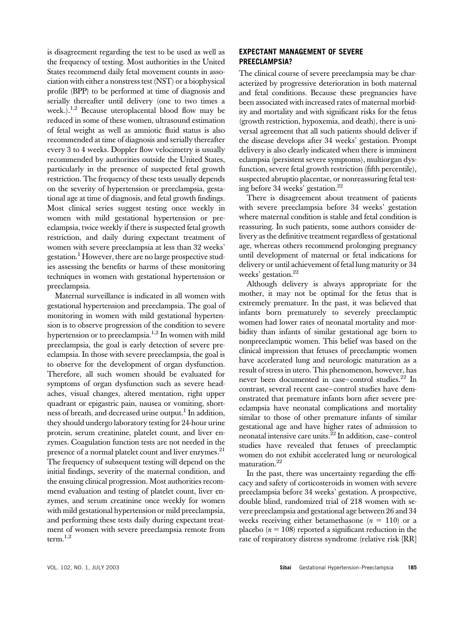is disagreement regarding the test to be used as well as the frequency of testing. Most authorities in the United States recommend daily fetal movement counts in association with either a nonstress test (NST) or a biophysical profile (BPP) to be performed at time of diagnosis and serially thereafter until delivery (one to two times a week.).<sup>1,2</sup> Because uteroplacental blood flow may be reduced in some of these women, ultrasound estimation of fetal weight as well as amniotic fluid status is also recommended at time of diagnosis and serially thereafter every 3 to 4 weeks. Doppler flow velocimetry is usually recommended by authorities outside the United States, particularly in the presence of suspected fetal growth restriction. The frequency of these tests usually depends on the severity of hypertension or preeclampsia, gestational age at time of diagnosis, and fetal growth findings. Most clinical series suggest testing once weekly in women with mild gestational hypertension or preeclampsia, twice weekly if there is suspected fetal growth restriction, and daily during expectant treatment of women with severe preeclampsia at less than 32 weeks' gestation.<sup>1</sup> However, there are no large prospective studies assessing the benefits or harms of these monitoring techniques in women with gestational hypertension or preeclampsia.

Maternal surveillance is indicated in all women with gestational hypertension and preeclampsia. The goal of monitoring in women with mild gestational hypertension is to observe progression of the condition to severe hypertension or to preeclampsia.<sup>1,2</sup> In women with mild preeclampsia, the goal is early detection of severe preeclampsia. In those with severe preeclampsia, the goal is to observe for the development of organ dysfunction. Therefore, all such women should be evaluated for symptoms of organ dysfunction such as severe headaches, visual changes, altered mentation, right upper quadrant or epigastric pain, nausea or vomiting, shortness of breath, and decreased urine output.<sup>1</sup> In addition, they should undergo laboratory testing for 24-hour urine protein, serum creatinine, platelet count, and liver enzymes. Coagulation function tests are not needed in the presence of a normal platelet count and liver enzymes.<sup>21</sup> The frequency of subsequent testing will depend on the initial findings, severity of the maternal condition, and the ensuing clinical progression. Most authorities recommend evaluation and testing of platelet count, liver enzymes, and serum creatinine once weekly for women with mild gestational hypertension or mild preeclampsia, and performing these tests daily during expectant treatment of women with severe preeclampsia remote from term. $^{1,2}$ 

## **EXPECTANT MANAGEMENT OF SEVERE PREECLAMPSIA?**

The clinical course of severe preeclampsia may be characterized by progressive deterioration in both maternal and fetal conditions. Because these pregnancies have been associated with increased rates of maternal morbidity and mortality and with significant risks for the fetus (growth restriction, hypoxemia, and death), there is universal agreement that all such patients should deliver if the disease develops after 34 weeks' gestation. Prompt delivery is also clearly indicated when there is imminent eclampsia (persistent severe symptoms), multiorgan dysfunction, severe fetal growth restriction (fifth percentile), suspected abruptio placentae, or nonreassuring fetal testing before 34 weeks' gestation.<sup>22</sup>

There is disagreement about treatment of patients with severe preeclampsia before 34 weeks' gestation where maternal condition is stable and fetal condition is reassuring. In such patients, some authors consider delivery as the definitive treatment regardless of gestational age, whereas others recommend prolonging pregnancy until development of maternal or fetal indications for delivery or until achievement of fetal lung maturity or 34 weeks' gestation.<sup>22</sup>

Although delivery is always appropriate for the mother, it may not be optimal for the fetus that is extremely premature. In the past, it was believed that infants born prematurely to severely preeclamptic women had lower rates of neonatal mortality and morbidity than infants of similar gestational age born to nonpreeclamptic women. This belief was based on the clinical impression that fetuses of preeclamptic women have accelerated lung and neurologic maturation as a result of stress in utero. This phenomenon, however, has never been documented in case–control studies.<sup>22</sup> In contrast, several recent case–control studies have demonstrated that premature infants born after severe preeclampsia have neonatal complications and mortality similar to those of other premature infants of similar gestational age and have higher rates of admission to neonatal intensive care units[.22](#page-10-0) In addition, case–control studies have revealed that fetuses of preeclamptic women do not exhibit accelerated lung or neurological maturation.<sup>22</sup>

In the past, there was uncertainty regarding the efficacy and safety of corticosteroids in women with severe preeclampsia before 34 weeks' gestation. A prospective, double blind, randomized trial of 218 women with severe preeclampsia and gestational age between 26 and 34 weeks receiving either betamethasone  $(n = 110)$  or a placebo ( $n = 108$ ) reported a significant reduction in the rate of respiratory distress syndrome (relative risk [RR]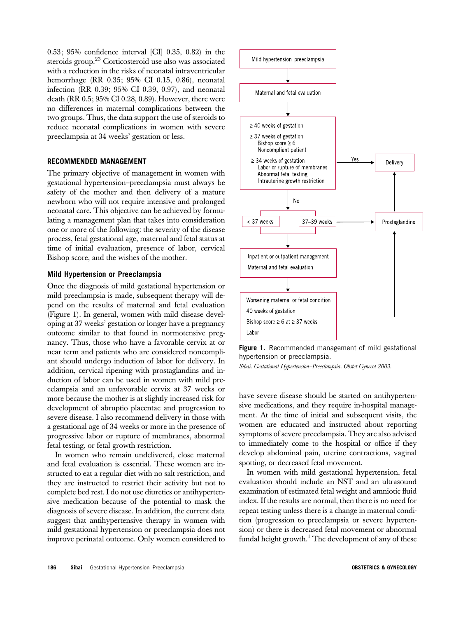<span id="page-5-0"></span>0.53; 95% confidence interval [CI] 0.35, 0.82) in the steroids group.<sup>23</sup> Corticosteroid use also was associated with a reduction in the risks of neonatal intraventricular hemorrhage (RR 0.35; 95% CI 0.15, 0.86), neonatal infection (RR 0.39; 95% CI 0.39, 0.97), and neonatal death (RR 0.5; 95% CI 0.28, 0.89). However, there were no differences in maternal complications between the two groups. Thus, the data support the use of steroids to reduce neonatal complications in women with severe preeclampsia at 34 weeks' gestation or less.

## **RECOMMENDED MANAGEMENT**

The primary objective of management in women with gestational hypertension–preeclampsia must always be safety of the mother and then delivery of a mature newborn who will not require intensive and prolonged neonatal care. This objective can be achieved by formulating a management plan that takes into consideration one or more of the following: the severity of the disease process, fetal gestational age, maternal and fetal status at time of initial evaluation, presence of labor, cervical Bishop score, and the wishes of the mother.

#### **Mild Hypertension or Preeclampsia**

Once the diagnosis of mild gestational hypertension or mild preeclampsia is made, subsequent therapy will depend on the results of maternal and fetal evaluation (Figure 1). In general, women with mild disease developing at 37 weeks' gestation or longer have a pregnancy outcome similar to that found in normotensive pregnancy. Thus, those who have a favorable cervix at or near term and patients who are considered noncompliant should undergo induction of labor for delivery. In addition, cervical ripening with prostaglandins and induction of labor can be used in women with mild preeclampsia and an unfavorable cervix at 37 weeks or more because the mother is at slightly increased risk for development of abruptio placentae and progression to severe disease. I also recommend delivery in those with a gestational age of 34 weeks or more in the presence of progressive labor or rupture of membranes, abnormal fetal testing, or fetal growth restriction.

In women who remain undelivered, close maternal and fetal evaluation is essential. These women are instructed to eat a regular diet with no salt restriction, and they are instructed to restrict their activity but not to complete bed rest. I do not use diuretics or antihypertensive medication because of the potential to mask the diagnosis of severe disease. In addition, the current data suggest that antihypertensive therapy in women with mild gestational hypertension or preeclampsia does not improve perinatal outcome. Only women considered to



**Figure 1.** Recommended management of mild gestational hypertension or preeclampsia.

*Sibai. Gestational Hypertension–Preeclampsia. Obstet Gynecol 2003.*

have severe disease should be started on antihypertensive medications, and they require in-hospital management. At the time of initial and subsequent visits, the women are educated and instructed about reporting symptoms of severe preeclampsia. They are also advised to immediately come to the hospital or office if they develop abdominal pain, uterine contractions, vaginal spotting, or decreased fetal movement.

In women with mild gestational hypertension, fetal evaluation should include an NST and an ultrasound examination of estimated fetal weight and amniotic fluid index. If the results are normal, then there is no need for repeat testing unless there is a change in maternal condition (progression to preeclampsia or severe hypertension) or there is decreased fetal movement or abnormal fundal height growth.<sup>1</sup> The development of any of these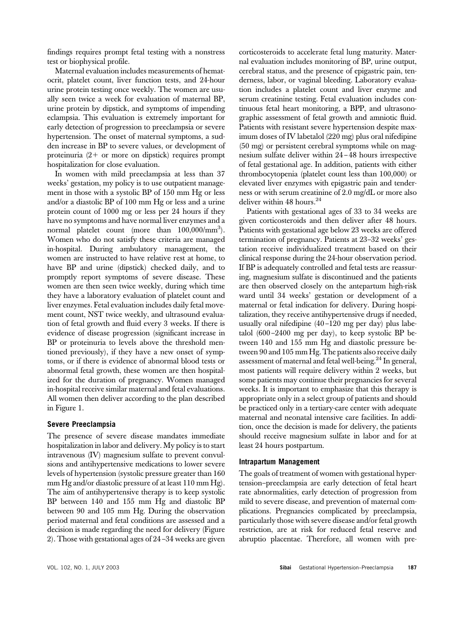findings requires prompt fetal testing with a nonstress test or biophysical profile.

Maternal evaluation includes measurements of hematocrit, platelet count, liver function tests, and 24-hour urine protein testing once weekly. The women are usually seen twice a week for evaluation of maternal BP, urine protein by dipstick, and symptoms of impending eclampsia. This evaluation is extremely important for early detection of progression to preeclampsia or severe hypertension. The onset of maternal symptoms, a sudden increase in BP to severe values, or development of proteinuria  $(2 + or more on dipstick)$  requires prompt hospitalization for close evaluation.

In women with mild preeclampsia at less than 37 weeks' gestation, my policy is to use outpatient management in those with a systolic BP of 150 mm Hg or less and/or a diastolic BP of 100 mm Hg or less and a urine protein count of 1000 mg or less per 24 hours if they have no symptoms and have normal liver enzymes and a normal platelet count (more than  $100,000/\text{mm}^3$ ). Women who do not satisfy these criteria are managed in-hospital. During ambulatory management, the women are instructed to have relative rest at home, to have BP and urine (dipstick) checked daily, and to promptly report symptoms of severe disease. These women are then seen twice weekly, during which time they have a laboratory evaluation of platelet count and liver enzymes. Fetal evaluation includes daily fetal movement count, NST twice weekly, and ultrasound evaluation of fetal growth and fluid every 3 weeks. If there is evidence of disease progression (significant increase in BP or proteinuria to levels above the threshold mentioned previously), if they have a new onset of symptoms, or if there is evidence of abnormal blood tests or abnormal fetal growth, these women are then hospitalized for the duration of pregnancy. Women managed in-hospital receive similar maternal and fetal evaluations. All women then deliver according to the plan described in [Figure 1.](#page-5-0)

#### **Severe Preeclampsia**

The presence of severe disease mandates immediate hospitalization in labor and delivery. My policy is to start intravenous (IV) magnesium sulfate to prevent convulsions and antihypertensive medications to lower severe levels of hypertension (systolic pressure greater than 160 mm Hg and/or diastolic pressure of at least 110 mm Hg). The aim of antihypertensive therapy is to keep systolic BP between 140 and 155 mm Hg and diastolic BP between 90 and 105 mm Hg. During the observation period maternal and fetal conditions are assessed and a decision is made regarding the need for delivery [\(Figure](#page-7-0) [2\)](#page-7-0). Those with gestational ages of 24–34 weeks are given

corticosteroids to accelerate fetal lung maturity. Maternal evaluation includes monitoring of BP, urine output, cerebral status, and the presence of epigastric pain, tenderness, labor, or vaginal bleeding. Laboratory evaluation includes a platelet count and liver enzyme and serum creatinine testing. Fetal evaluation includes continuous fetal heart monitoring, a BPP, and ultrasonographic assessment of fetal growth and amniotic fluid. Patients with resistant severe hypertension despite maximum doses of IV labetalol (220 mg) plus oral nifedipine (50 mg) or persistent cerebral symptoms while on magnesium sulfate deliver within 24–48 hours irrespective of fetal gestational age. In addition, patients with either thrombocytopenia (platelet count less than 100,000) or elevated liver enzymes with epigastric pain and tenderness or with serum creatinine of 2.0 mg/dL or more also deliver within 48 hours. $24$ 

Patients with gestational ages of 33 to 34 weeks are given corticosteroids and then deliver after 48 hours. Patients with gestational age below 23 weeks are offered termination of pregnancy. Patients at 23–32 weeks' gestation receive individualized treatment based on their clinical response during the 24-hour observation period. If BP is adequately controlled and fetal tests are reassuring, magnesium sulfate is discontinued and the patients are then observed closely on the antepartum high-risk ward until 34 weeks' gestation or development of a maternal or fetal indication for delivery. During hospitalization, they receive antihypertensive drugs if needed, usually oral nifedipine (40–120 mg per day) plus labetalol (600–2400 mg per day), to keep systolic BP between 140 and 155 mm Hg and diastolic pressure between 90 and 105 mm Hg. The patients also receive daily assessment of maternal and fetal well-being.<sup>24</sup> In general, most patients will require delivery within 2 weeks, but some patients may continue their pregnancies for several weeks. It is important to emphasize that this therapy is appropriate only in a select group of patients and should be practiced only in a tertiary-care center with adequate maternal and neonatal intensive care facilities. In addition, once the decision is made for delivery, the patients should receive magnesium sulfate in labor and for at least 24 hours postpartum.

#### **Intrapartum Management**

The goals of treatment of women with gestational hypertension–preeclampsia are early detection of fetal heart rate abnormalities, early detection of progression from mild to severe disease, and prevention of maternal complications. Pregnancies complicated by preeclampsia, particularly those with severe disease and/or fetal growth restriction, are at risk for reduced fetal reserve and abruptio placentae. Therefore, all women with pre-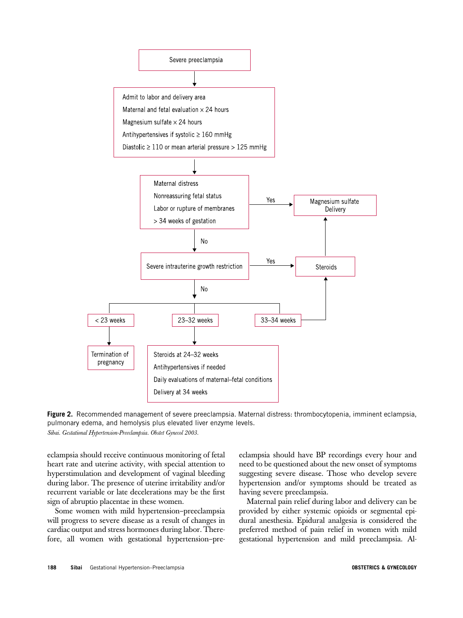<span id="page-7-0"></span>

**Figure 2.** Recommended management of severe preeclampsia. Maternal distress: thrombocytopenia, imminent eclampsia, pulmonary edema, and hemolysis plus elevated liver enzyme levels. *Sibai. Gestational Hypertension-Preeclampsia. Obstet Gynecol 2003.*

eclampsia should receive continuous monitoring of fetal heart rate and uterine activity, with special attention to hyperstimulation and development of vaginal bleeding during labor. The presence of uterine irritability and/or recurrent variable or late decelerations may be the first sign of abruptio placentae in these women.

Some women with mild hypertension–preeclampsia will progress to severe disease as a result of changes in cardiac output and stress hormones during labor. Therefore, all women with gestational hypertension–preeclampsia should have BP recordings every hour and need to be questioned about the new onset of symptoms suggesting severe disease. Those who develop severe hypertension and/or symptoms should be treated as having severe preeclampsia.

Maternal pain relief during labor and delivery can be provided by either systemic opioids or segmental epidural anesthesia. Epidural analgesia is considered the preferred method of pain relief in women with mild gestational hypertension and mild preeclampsia. Al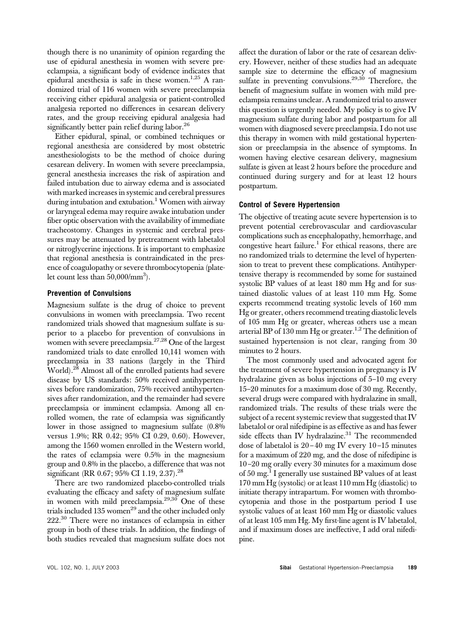though there is no unanimity of opinion regarding the use of epidural anesthesia in women with severe preeclampsia, a significant body of evidence indicates that epidural anesthesia is safe in these women.<sup>1,25</sup> A randomized trial of 116 women with severe preeclampsia receiving either epidural analgesia or patient-controlled analgesia reported no differences in cesarean delivery rates, and the group receiving epidural analgesia had significantly better pain relief during labor.<sup>26</sup>

Either epidural, spinal, or combined techniques or regional anesthesia are considered by most obstetric anesthesiologists to be the method of choice during cesarean delivery. In women with severe preeclampsia, general anesthesia increases the risk of aspiration and failed intubation due to airway edema and is associated with marked increases in systemic and cerebral pressures during intubation and extubation.<sup>1</sup> Women with airway or laryngeal edema may require awake intubation under fiber optic observation with the availability of immediate tracheostomy. Changes in systemic and cerebral pressures may be attenuated by pretreatment with labetalol or nitroglycerine injections. It is important to emphasize that regional anesthesia is contraindicated in the presence of coagulopathy or severe thrombocytopenia (platelet count less than  $50,000/\text{mm}^3$ ).

## **Prevention of Convulsions**

Magnesium sulfate is the drug of choice to prevent convulsions in women with preeclampsia. Two recent randomized trials showed that magnesium sulfate is superior to a placebo for prevention of convulsions in women with severe preeclampsia[.27,28](#page-10-0) One of the largest randomized trials to date enrolled 10,141 women with preeclampsia in 33 nations (largely in the Third World)[.28](#page-10-0) Almost all of the enrolled patients had severe disease by US standards: 50% received antihypertensives before randomization, 75% received antihypertensives after randomization, and the remainder had severe preeclampsia or imminent eclampsia. Among all enrolled women, the rate of eclampsia was significantly lower in those assigned to magnesium sulfate  $(0.8\%$ versus 1.9%; RR 0.42; 95% CI 0.29, 0.60). However, among the 1560 women enrolled in the Western world, the rates of eclampsia were 0.5% in the magnesium group and 0.8% in the placebo, a difference that was not significant (RR 0.67; 95% CI 1.19, 2.37).<sup>28</sup>

There are two randomized placebo-controlled trials evaluating the efficacy and safety of magnesium sulfate in women with mild preeclampsia.<sup>29,30</sup> One of these trials included  $135$  women<sup>29</sup> and the other included only  $222.^{30}$  There were no instances of eclampsia in either group in both of these trials. In addition, the findings of both studies revealed that magnesium sulfate does not

affect the duration of labor or the rate of cesarean delivery. However, neither of these studies had an adequate sample size to determine the efficacy of magnesium sulfate in preventing convulsions. $29,30$  Therefore, the benefit of magnesium sulfate in women with mild preeclampsia remains unclear. A randomized trial to answer this question is urgently needed. My policy is to give IV magnesium sulfate during labor and postpartum for all women with diagnosed severe preeclampsia. I do not use this therapy in women with mild gestational hypertension or preeclampsia in the absence of symptoms. In women having elective cesarean delivery, magnesium sulfate is given at least 2 hours before the procedure and continued during surgery and for at least 12 hours postpartum.

# **Control of Severe Hypertension**

The objective of treating acute severe hypertension is to prevent potential cerebrovascular and cardiovascular complications such as encephalopathy, hemorrhage, and congestive heart failure.<sup>1</sup> For ethical reasons, there are no randomized trials to determine the level of hypertension to treat to prevent these complications. Antihypertensive therapy is recommended by some for sustained systolic BP values of at least 180 mm Hg and for sustained diastolic values of at least 110 mm Hg. Some experts recommend treating systolic levels of 160 mm Hg or greater, others recommend treating diastolic levels of 105 mm Hg or greater, whereas others use a mean arterial BP of 130 mm Hg or greater.<sup>1,2</sup> The definition of sustained hypertension is not clear, ranging from 30 minutes to 2 hours.

The most commonly used and advocated agent for the treatment of severe hypertension in pregnancy is IV hydralazine given as bolus injections of 5–10 mg every 15–20 minutes for a maximum dose of 30 mg. Recently, several drugs were compared with hydralazine in small, randomized trials. The results of these trials were the subject of a recent systemic review that suggested that IV labetalol or oral nifedipine is as effective as and has fewer side effects than IV hydralazine.<sup>31</sup> The recommended dose of labetalol is  $20-40$  mg IV every  $10-15$  minutes for a maximum of 220 mg, and the dose of nifedipine is 10–20 mg orally every 30 minutes for a maximum dose of  $50 \text{ mg}$ .<sup>1</sup> I generally use sustained BP values of at least 170 mm Hg (systolic) or at least 110 mm Hg (diastolic) to initiate therapy intrapartum. For women with thrombocytopenia and those in the postpartum period I use systolic values of at least 160 mm Hg or diastolic values of at least 105 mm Hg. My first-line agent is IV labetalol, and if maximum doses are ineffective, I add oral nifedipine.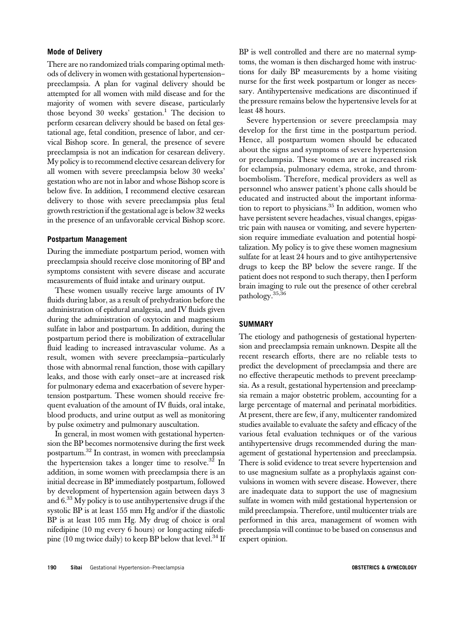#### **Mode of Delivery**

There are no randomized trials comparing optimal methods of delivery in women with gestational hypertension– preeclampsia. A plan for vaginal delivery should be attempted for all women with mild disease and for the majority of women with severe disease, particularly those beyond 30 weeks' gestation.<sup>1</sup> The decision to perform cesarean delivery should be based on fetal gestational age, fetal condition, presence of labor, and cervical Bishop score. In general, the presence of severe preeclampsia is not an indication for cesarean delivery. My policy is to recommend elective cesarean delivery for all women with severe preeclampsia below 30 weeks' gestation who are not in labor and whose Bishop score is below five. In addition, I recommend elective cesarean delivery to those with severe preeclampsia plus fetal growth restriction if the gestational age is below 32 weeks in the presence of an unfavorable cervical Bishop score.

#### **Postpartum Management**

During the immediate postpartum period, women with preeclampsia should receive close monitoring of BP and symptoms consistent with severe disease and accurate measurements of fluid intake and urinary output.

These women usually receive large amounts of IV fluids during labor, as a result of prehydration before the administration of epidural analgesia, and IV fluids given during the administration of oxytocin and magnesium sulfate in labor and postpartum. In addition, during the postpartum period there is mobilization of extracellular fluid leading to increased intravascular volume. As a result, women with severe preeclampsia—particularly those with abnormal renal function, those with capillary leaks, and those with early onset—are at increased risk for pulmonary edema and exacerbation of severe hypertension postpartum. These women should receive frequent evaluation of the amount of IV fluids, oral intake, blood products, and urine output as well as monitoring by pulse oximetry and pulmonary auscultation.

In general, in most women with gestational hypertension the BP becomes normotensive during the first week postpartum[.32](#page-11-0) In contrast, in women with preeclampsia the hypertension takes a longer time to resolve. $32$  In addition, in some women with preeclampsia there is an initial decrease in BP immediately postpartum, followed by development of hypertension again between days 3 and  $6^{33}$  My policy is to use antihypertensive drugs if the systolic BP is at least 155 mm Hg and/or if the diastolic BP is at least 105 mm Hg. My drug of choice is oral nifedipine (10 mg every 6 hours) or long-acting nifedipine  $(10 \text{ mg twice daily})$  to keep BP below that level.<sup>34</sup> If BP is well controlled and there are no maternal symptoms, the woman is then discharged home with instructions for daily BP measurements by a home visiting nurse for the first week postpartum or longer as necessary. Antihypertensive medications are discontinued if the pressure remains below the hypertensive levels for at least 48 hours.

Severe hypertension or severe preeclampsia may develop for the first time in the postpartum period. Hence, all postpartum women should be educated about the signs and symptoms of severe hypertension or preeclampsia. These women are at increased risk for eclampsia, pulmonary edema, stroke, and thromboembolism. Therefore, medical providers as well as personnel who answer patient's phone calls should be educated and instructed about the important information to report to physicians.<sup>35</sup> In addition, women who have persistent severe headaches, visual changes, epigastric pain with nausea or vomiting, and severe hypertension require immediate evaluation and potential hospitalization. My policy is to give these women magnesium sulfate for at least 24 hours and to give antihypertensive drugs to keep the BP below the severe range. If the patient does not respond to such therapy, then I perform brain imaging to rule out the presence of other cerebral pathology[.35,36](#page-11-0)

#### **SUMMARY**

The etiology and pathogenesis of gestational hypertension and preeclampsia remain unknown. Despite all the recent research efforts, there are no reliable tests to predict the development of preeclampsia and there are no effective therapeutic methods to prevent preeclampsia. As a result, gestational hypertension and preeclampsia remain a major obstetric problem, accounting for a large percentage of maternal and perinatal morbidities. At present, there are few, if any, multicenter randomized studies available to evaluate the safety and efficacy of the various fetal evaluation techniques or of the various antihypertensive drugs recommended during the management of gestational hypertension and preeclampsia. There is solid evidence to treat severe hypertension and to use magnesium sulfate as a prophylaxis against convulsions in women with severe disease. However, there are inadequate data to support the use of magnesium sulfate in women with mild gestational hypertension or mild preeclampsia. Therefore, until multicenter trials are performed in this area, management of women with preeclampsia will continue to be based on consensus and expert opinion.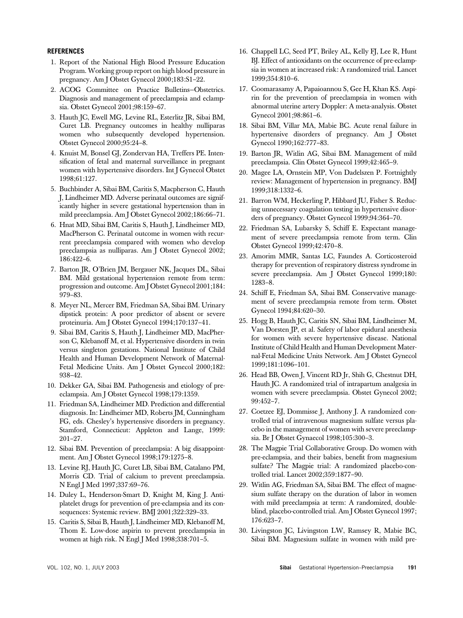#### <span id="page-10-0"></span>**REFERENCES**

- 1. Report of the National High Blood Pressure Education Program. Working group report on high blood pressure in pregnancy. Am J Obstet Gynecol 2000;183:S1–22.
- 2. ACOG Committee on Practice Bulletins—Obstetrics. Diagnosis and management of preeclampsia and eclampsia. Obstet Gynecol 2001;98:159–67.
- 3. Hauth JC, Ewell MG, Levine RL, Esterlitz JR, Sibai BM, Curet LB. Pregnancy outcomes in healthy nulliparas women who subsequently developed hypertension. Obstet Gynecol 2000;95:24–8.
- 4. Knuist M, Bonsel GJ, Zondervan HA, Treffers PE. Intensification of fetal and maternal surveillance in pregnant women with hypertensive disorders. Int J Gynecol Obstet 1998;61:127.
- 5. Buchbinder A, Sibai BM, Caritis S, Macpherson C, Hauth J, Lindheimer MD. Adverse perinatal outcomes are significantly higher in severe gestational hypertension than in mild preeclampsia. Am J Obstet Gynecol 2002;186:66–71.
- 6. Hnat MD, Sibai BM, Caritis S, Hauth J, Lindheimer MD, MacPherson C. Perinatal outcome in women with recurrent preeclampsia compared with women who develop preeclampsia as nulliparas. Am J Obstet Gynecol 2002; 186:422–6.
- 7. Barton JR, O'Brien JM, Bergauer NK, Jacques DL, Sibai BM. Mild gestational hypertension remote from term: progression and outcome. Am J Obstet Gynecol 2001;184: 979–83.
- 8. Meyer NL, Mercer BM, Friedman SA, Sibai BM. Urinary dipstick protein: A poor predictor of absent or severe proteinuria. Am J Obstet Gynecol 1994;170:137–41.
- 9. Sibai BM, Caritis S, Hauth J, Lindheimer MD, MacPherson C, Klebanoff M, et al. Hypertensive disorders in twin versus singleton gestations. National Institute of Child Health and Human Development Network of Maternal-Fetal Medicine Units. Am J Obstet Gynecol 2000;182: 938–42.
- 10. Dekker GA, Sibai BM. Pathogenesis and etiology of preeclampsia. Am J Obstet Gynecol 1998;179:1359.
- 11. Friedman SA, Lindheimer MD. Prediction and differential diagnosis. In: Lindheimer MD, Roberts JM, Cunningham FG, eds. Chesley's hypertensive disorders in pregnancy. Stamford, Connecticut: Appleton and Lange, 1999: 201–27.
- 12. Sibai BM. Prevention of preeclampsia: A big disappointment. Am J Obstet Gynecol 1998;179:1275–8.
- 13. Levine RJ, Hauth JC, Curet LB, Sibai BM, Catalano PM, Morris CD. Trial of calcium to prevent preeclampsia. N Engl J Med 1997;337:69–76.
- 14. Duley L, Henderson-Smart D, Knight M, King J. Antiplatelet drugs for prevention of pre-eclampsia and its consequences: Systemic review. BMJ 2001;322:329–33.
- 15. Caritis S, Sibai B, Hauth J, Lindheimer MD, Klebanoff M, Thom E. Low-dose aspirin to prevent preeclampsia in women at high risk. N Engl J Med 1998;338:701–5.
- 16. Chappell LC, Seed PT, Briley AL, Kelly FJ, Lee R, Hunt BJ. Effect of antioxidants on the occurrence of pre-eclampsia in women at increased risk: A randomized trial. Lancet 1999;354:810–6.
- 17. Coomarasamy A, Papaioannou S, Gee H, Khan KS. Aspirin for the prevention of preeclampsia in women with abnormal uterine artery Doppler: A meta-analysis. Obstet Gynecol 2001;98:861–6.
- 18. Sibai BM, Villar MA, Mabie BC. Acute renal failure in hypertensive disorders of pregnancy. Am J Obstet Gynecol 1990;162:777–83.
- 19. Barton JR, Witlin AG, Sibai BM. Management of mild preeclampsia. Clin Obstet Gynecol 1999;42:465–9.
- 20. Magee LA, Ornstein MP, Von Dadelszen P. Fortnightly review: Management of hypertension in pregnancy. BMJ 1999;318:1332–6.
- 21. Barron WM, Heckerling P, Hibbard JU, Fisher S. Reducing unnecessary coagulation testing in hypertensive disorders of pregnancy. Obstet Gynecol 1999;94:364–70.
- 22. Friedman SA, Lubarsky S, Schiff E. Expectant management of severe preeclampsia remote from term. Clin Obstet Gynecol 1999;42:470–8.
- 23. Amorim MMR, Santas LC, Faundes A. Corticosteroid therapy for prevention of respiratory distress syndrome in severe preeclampsia. Am J Obstet Gynecol 1999;180: 1283–8.
- 24. Schiff E, Friedman SA, Sibai BM. Conservative management of severe preeclampsia remote from term. Obstet Gynecol 1994;84:620–30.
- 25. Hogg B, Hauth JC, Caritis SN, Sibai BM, Lindheimer M, Van Dorsten JP, et al. Safety of labor epidural anesthesia for women with severe hypertensive disease. National Institute of Child Health and Human Development Maternal-Fetal Medicine Units Network. Am J Obstet Gynecol 1999;181:1096–101.
- 26. Head BB, Owen J, Vincent RD Jr, Shih G, Chestnut DH, Hauth JC. A randomized trial of intrapartum analgesia in women with severe preeclampsia. Obstet Gynecol 2002; 99:452–7.
- 27. Coetzee EJ, Dommisse J, Anthony J. A randomized controlled trial of intravenous magnesium sulfate versus placebo in the management of women with severe preeclampsia. Br J Obstet Gynaecol 1998;105:300–3.
- 28. The Magpie Trial Collaborative Group. Do women with pre-eclampsia, and their babies, benefit from magnesium sulfate? The Magpie trial: A randomized placebo-controlled trial. Lancet 2002;359:1877–90.
- 29. Witlin AG, Friedman SA, Sibai BM. The effect of magnesium sulfate therapy on the duration of labor in women with mild preeclampsia at term: A randomized, doubleblind, placebo-controlled trial. Am J Obstet Gynecol 1997; 176:623–7.
- 30. Livingston JC, Livingston LW, Ramsey R, Mabie BC, Sibai BM. Magnesium sulfate in women with mild pre-